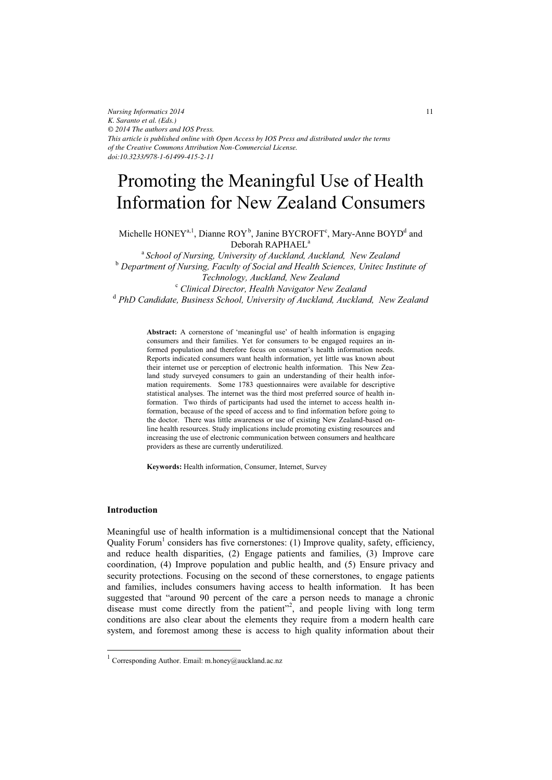*Nursing Informatics 2014 K. Saranto et al. (Eds.) © 2014 The authors and IOS Press. This article is published online with Open Access by IOS Press and distributed under the terms of the Creative Commons Attribution Non-Commercial License. doi:10.3233/978-1-61499-415-2-11*

# Promoting the Meaningful Use of Health Information for New Zealand Consumers

Michelle  $\text{HONEY}^{a,1}$ , Dianne ROY<sup>b</sup>, Janine BYCROFT<sup>c</sup>, Mary-Anne BOYD<sup>d</sup> and Deborah RAPHAEL<sup>a</sup>

<sup>a</sup>*School of Nursing, University of Auckland, Auckland, New Zealand*   $^{\rm b}$  Department of Nursing, Faculty of Social and Health Sciences, Unitec Institute of *Technology, Auckland, New Zealand* <sup>c</sup>  *Clinical Director, Health Navigator New Zealand*  <sup>d</sup> PhD Candidate, Business School, University of Auckland, Auckland, New Zealand

> **Abstract:** A cornerstone of 'meaningful use' of health information is engaging consumers and their families. Yet for consumers to be engaged requires an informed population and therefore focus on consumer's health information needs. Reports indicated consumers want health information, yet little was known about their internet use or perception of electronic health information. This New Zealand study surveyed consumers to gain an understanding of their health information requirements. Some 1783 questionnaires were available for descriptive statistical analyses. The internet was the third most preferred source of health information. Two thirds of participants had used the internet to access health information, because of the speed of access and to find information before going to the doctor. There was little awareness or use of existing New Zealand-based online health resources. Study implications include promoting existing resources and increasing the use of electronic communication between consumers and healthcare providers as these are currently underutilized.

**Keywords:** Health information, Consumer, Internet, Survey

### **Introduction**

 $\overline{a}$ 

Meaningful use of health information is a multidimensional concept that the National Quality Forum<sup>1</sup> considers has five cornerstones: (1) Improve quality, safety, efficiency, and reduce health disparities, (2) Engage patients and families, (3) Improve care coordination, (4) Improve population and public health, and (5) Ensure privacy and security protections. Focusing on the second of these cornerstones, to engage patients and families, includes consumers having access to health information. It has been suggested that "around 90 percent of the care a person needs to manage a chronic disease must come directly from the patient"<sup>2</sup>, and people living with long term conditions are also clear about the elements they require from a modern health care system, and foremost among these is access to high quality information about their

<sup>&</sup>lt;sup>1</sup> Corresponding Author. Email: m.honey@auckland.ac.nz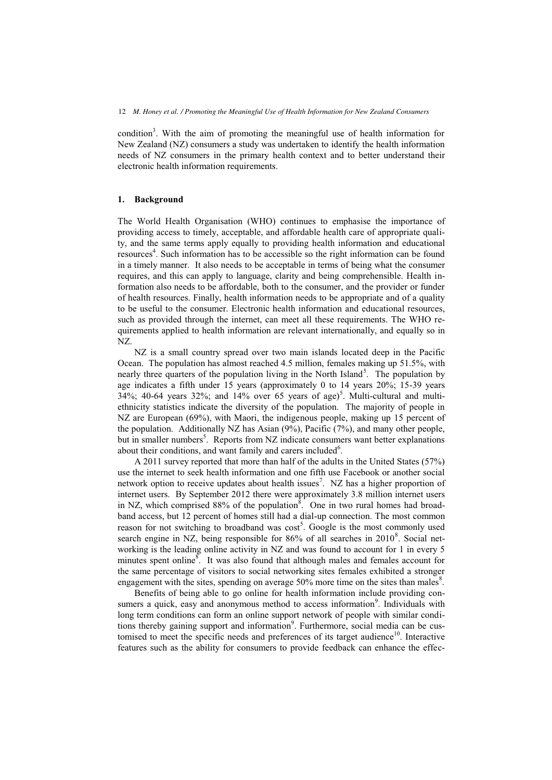condition<sup>3</sup>. With the aim of promoting the meaningful use of health information for New Zealand (NZ) consumers a study was undertaken to identify the health information needs of NZ consumers in the primary health context and to better understand their electronic health information requirements.

#### **1. Background**

The World Health Organisation (WHO) continues to emphasise the importance of providing access to timely, acceptable, and affordable health care of appropriate quality, and the same terms apply equally to providing health information and educational resources<sup>4</sup>. Such information has to be accessible so the right information can be found in a timely manner. It also needs to be acceptable in terms of being what the consumer requires, and this can apply to language, clarity and being comprehensible. Health information also needs to be affordable, both to the consumer, and the provider or funder of health resources. Finally, health information needs to be appropriate and of a quality to be useful to the consumer. Electronic health information and educational resources, such as provided through the internet, can meet all these requirements. The WHO requirements applied to health information are relevant internationally, and equally so in NZ.

NZ is a small country spread over two main islands located deep in the Pacific Ocean. The population has almost reached 4.5 million, females making up 51.5%, with nearly three quarters of the population living in the North Island<sup>5</sup>. The population by age indicates a fifth under 15 years (approximately 0 to 14 years 20%; 15-39 years 34%; 40-64 years 32%; and 14% over 65 years of age)<sup>5</sup>. Multi-cultural and multiethnicity statistics indicate the diversity of the population. The majority of people in NZ are European (69%), with Maori, the indigenous people, making up 15 percent of the population. Additionally NZ has Asian (9%), Pacific (7%), and many other people, but in smaller numbers<sup>5</sup>. Reports from NZ indicate consumers want better explanations about their conditions, and want family and carers included $6$ .

A 2011 survey reported that more than half of the adults in the United States (57%) use the internet to seek health information and one fifth use Facebook or another social network option to receive updates about health issues<sup>7</sup>. NZ has a higher proportion of internet users. By September 2012 there were approximately 3.8 million internet users in NZ, which comprised  $88\%$  of the population<sup>8</sup>. One in two rural homes had broadband access, but 12 percent of homes still had a dial-up connection. The most common reason for not switching to broadband was  $cost<sup>5</sup>$ . Google is the most commonly used search engine in NZ, being responsible for  $86\%$  of all searches in  $2010^8$ . Social networking is the leading online activity in NZ and was found to account for 1 in every 5 minutes spent online<sup>8</sup>. It was also found that although males and females account for the same percentage of visitors to social networking sites females exhibited a stronger engagement with the sites, spending on average 50% more time on the sites than males<sup>8</sup>.

Benefits of being able to go online for health information include providing consumers a quick, easy and anonymous method to access information<sup>9</sup>. Individuals with long term conditions can form an online support network of people with similar conditions thereby gaining support and information<sup>9</sup>. Furthermore, social media can be customised to meet the specific needs and preferences of its target audience<sup>10</sup>. Interactive features such as the ability for consumers to provide feedback can enhance the effec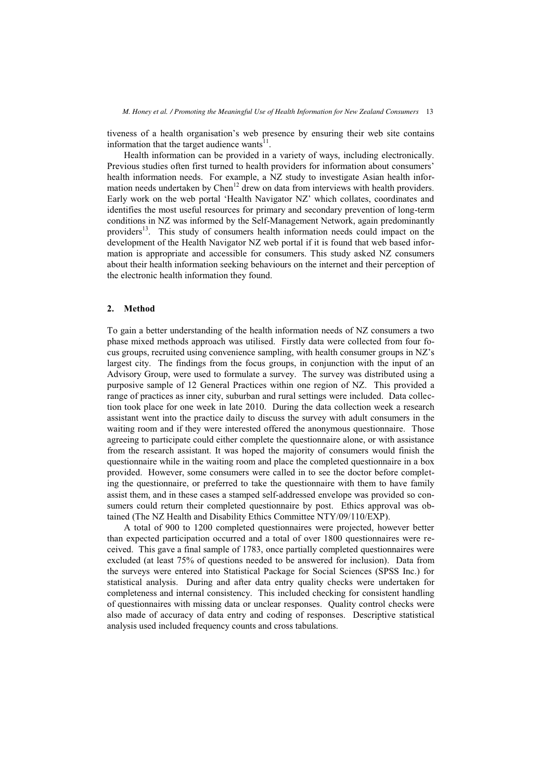tiveness of a health organisation's web presence by ensuring their web site contains information that the target audience wants $11$ .

Health information can be provided in a variety of ways, including electronically. Previous studies often first turned to health providers for information about consumers' health information needs. For example, a NZ study to investigate Asian health information needs undertaken by Chen<sup>12</sup> drew on data from interviews with health providers. Early work on the web portal 'Health Navigator NZ' which collates, coordinates and identifies the most useful resources for primary and secondary prevention of long-term conditions in NZ was informed by the Self-Management Network, again predominantly providers<sup>13</sup>. This study of consumers health information needs could impact on the development of the Health Navigator NZ web portal if it is found that web based information is appropriate and accessible for consumers. This study asked NZ consumers about their health information seeking behaviours on the internet and their perception of the electronic health information they found.

### **2. Method**

To gain a better understanding of the health information needs of NZ consumers a two phase mixed methods approach was utilised. Firstly data were collected from four focus groups, recruited using convenience sampling, with health consumer groups in NZ's largest city. The findings from the focus groups, in conjunction with the input of an Advisory Group, were used to formulate a survey. The survey was distributed using a purposive sample of 12 General Practices within one region of NZ. This provided a range of practices as inner city, suburban and rural settings were included. Data collection took place for one week in late 2010. During the data collection week a research assistant went into the practice daily to discuss the survey with adult consumers in the waiting room and if they were interested offered the anonymous questionnaire. Those agreeing to participate could either complete the questionnaire alone, or with assistance from the research assistant. It was hoped the majority of consumers would finish the questionnaire while in the waiting room and place the completed questionnaire in a box provided. However, some consumers were called in to see the doctor before completing the questionnaire, or preferred to take the questionnaire with them to have family assist them, and in these cases a stamped self-addressed envelope was provided so consumers could return their completed questionnaire by post. Ethics approval was obtained (The NZ Health and Disability Ethics Committee NTY/09/110/EXP).

A total of 900 to 1200 completed questionnaires were projected, however better than expected participation occurred and a total of over 1800 questionnaires were received. This gave a final sample of 1783, once partially completed questionnaires were excluded (at least 75% of questions needed to be answered for inclusion). Data from the surveys were entered into Statistical Package for Social Sciences (SPSS Inc.) for statistical analysis. During and after data entry quality checks were undertaken for completeness and internal consistency. This included checking for consistent handling of questionnaires with missing data or unclear responses. Quality control checks were also made of accuracy of data entry and coding of responses. Descriptive statistical analysis used included frequency counts and cross tabulations.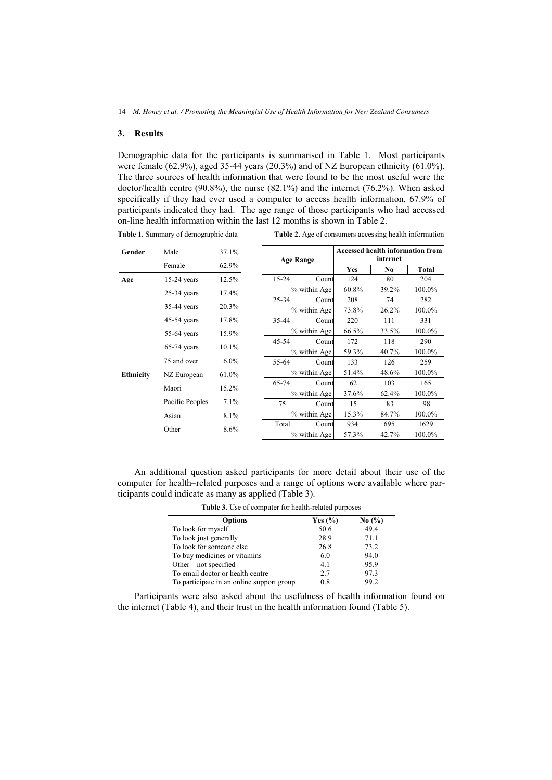## **3. Results**

**Table 1.** Summary of demographic data

Demographic data for the participants is summarised in Table 1. Most participants were female  $(62.9\%)$ , aged 35-44 years  $(20.3\%)$  and of NZ European ethnicity  $(61.0\%)$ . The three sources of health information that were found to be the most useful were the doctor/health centre (90.8%), the nurse (82.1%) and the internet (76.2%). When asked specifically if they had ever used a computer to access health information, 67.9% of participants indicated they had. The age range of those participants who had accessed on-line health information within the last 12 months is shown in Table 2.

| Gender           | Male            | $37.1\%$ | <b>Age Range</b> |              | <b>Accessed health information from</b> |          |        |
|------------------|-----------------|----------|------------------|--------------|-----------------------------------------|----------|--------|
|                  |                 |          |                  |              | internet                                |          |        |
|                  | Female          | 62.9%    |                  |              | Yes                                     | No       | Total  |
| Age              | $15-24$ years   | 12.5%    | $15 - 24$        | Count        | 124                                     | 80       | 204    |
|                  | $25-34$ years   | $17.4\%$ |                  | % within Age | 60.8%                                   | 39.2%    | 100.0% |
|                  |                 |          | $25 - 34$        | Count        | 208                                     | 74       | 282    |
|                  | $35-44$ years   | 20.3%    |                  | % within Age |                                         | $26.2\%$ | 100.0% |
|                  | $45-54$ years   | 17.8%    | 35-44            | Count        | 220                                     | 111      | 331    |
|                  | $55-64$ years   | 15.9%    | % within Age     |              | 66.5%                                   | 33.5%    | 100.0% |
|                  |                 |          | 45-54            | Count        | 172                                     | 118      | 290    |
|                  | $65-74$ years   | $10.1\%$ | % within Age     |              | 59.3%                                   | 40.7%    | 100.0% |
|                  | 75 and over     | $6.0\%$  | 55-64            | Count        | 133                                     | 126      | 259    |
| <b>Ethnicity</b> | NZ European     | 61.0%    |                  | % within Age |                                         | 48.6%    | 100.0% |
|                  | Maori           | 15.2%    | 65-74            | Count        | 62                                      | 103      | 165    |
|                  |                 |          | % within Age     |              | 37.6%                                   | 62.4%    | 100.0% |
|                  | Pacific Peoples | 7.1%     | $75+$            | Count        | 15                                      | 83       | 98     |
|                  | Asian           | 8.1%     |                  | % within Age | 15.3%                                   | 84.7%    | 100.0% |
|                  | Other           | $8.6\%$  | Total            | Count        | 934                                     | 695      | 1629   |
|                  |                 |          |                  | % within Age | 57.3%                                   | 42.7%    | 100.0% |

**Table 2.** Age of consumers accessing health information

An additional question asked participants for more detail about their use of the computer for health–related purposes and a range of options were available where participants could indicate as many as applied (Table 3).

**Table 3.** Use of computer for health-related purposes

| <b>Options</b>                            | Yes $(\% )$ | No $\left(\frac{9}{6}\right)$ |
|-------------------------------------------|-------------|-------------------------------|
| To look for myself                        | 50.6        | 49.4                          |
| To look just generally                    | 28.9        | 71.1                          |
| To look for someone else                  | 26.8        | 73.2                          |
| To buy medicines or vitamins              | 6.0         | 94.0                          |
| Other $-$ not specified                   | 4.1         | 95.9                          |
| To email doctor or health centre          | 2.7         | 97.3                          |
| To participate in an online support group | 0.8         | 99.2                          |

Participants were also asked about the usefulness of health information found on the internet (Table 4), and their trust in the health information found (Table 5).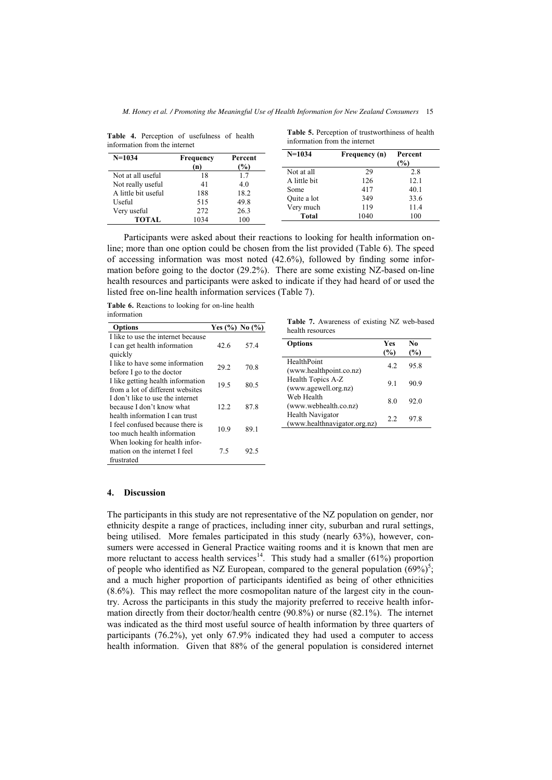| 11110111111111111 11101111 11101111101 |                  |                          |              |               |                   |
|----------------------------------------|------------------|--------------------------|--------------|---------------|-------------------|
| $N=1034$                               | Frequency<br>(n) | Percent<br>$\frac{9}{0}$ | $N=1034$     | Frequency (n) | Percent<br>$(\%)$ |
| Not at all useful                      |                  | 1.7                      | Not at all   | 29            | 2.8               |
|                                        | 18               |                          | A little bit | 126           | 12.1              |
| Not really useful                      | 41               | 4.0                      | Some         | 417           | 40.1              |
| A little bit useful                    | 188              | 18.2                     | Quite a lot  | 349           | 33.6              |
| Useful                                 | 515              | 49.8                     | Very much    | 119           | 11.4              |
| Very useful                            | 272              | 26.3                     |              |               |                   |
| <b>TOTAL</b>                           | 1034             | 100                      | Total        | 1040          | 100               |

**Table 4.** Perception of usefulness of health information from the internet

**Table 5.** Perception of trustworthiness of health information from the internet

Participants were asked about their reactions to looking for health information online; more than one option could be chosen from the list provided (Table 6). The speed of accessing information was most noted (42.6%), followed by finding some information before going to the doctor (29.2%). There are some existing NZ-based on-line health resources and participants were asked to indicate if they had heard of or used the listed free on-line health information services (Table 7).

**Table 6.** Reactions to looking for on-line health information

| Options                            | Yes $(\%)$ No $(\%)$ |      |
|------------------------------------|----------------------|------|
| I like to use the internet because |                      |      |
| I can get health information       | 42.6                 | 57.4 |
| quickly                            |                      |      |
| I like to have some information    | 29.2                 | 70.8 |
| before I go to the doctor          |                      |      |
| I like getting health information  | 19.5                 | 80 5 |
| from a lot of different websites   |                      |      |
| I don't like to use the internet   |                      |      |
| because I don't know what          | 12.2.                | 87 8 |
| health information I can trust     |                      |      |
| I feel confused because there is   | 10.9                 | 89.1 |
| too much health information        |                      |      |
| When looking for health infor-     |                      |      |
| mation on the internet I feel      | 75                   | 92.5 |
| frustrated                         |                      |      |

**Table 7.** Awareness of existing NZ web-based health resources

| <b>Options</b>                                   | Yes<br>(%) | No<br>(%) |
|--------------------------------------------------|------------|-----------|
| HealthPoint<br>(www.healthpoint.co.nz)           | 42         | 95.8      |
| Health Topics A-Z<br>(www.agewell.org.nz)        | 91         | 90.9      |
| Web Health<br>(www.webhealth.co.nz)              | 80         | 92.0      |
| Health Navigator<br>(www.healthnavigator.org.nz) | 22         | 97 8      |

#### **4. Discussion**

The participants in this study are not representative of the NZ population on gender, nor ethnicity despite a range of practices, including inner city, suburban and rural settings, being utilised. More females participated in this study (nearly 63%), however, consumers were accessed in General Practice waiting rooms and it is known that men are more reluctant to access health services<sup>14</sup>. This study had a smaller  $(61\%)$  proportion of people who identified as NZ European, compared to the general population  $(69\%)^5$ ; and a much higher proportion of participants identified as being of other ethnicities (8.6%). This may reflect the more cosmopolitan nature of the largest city in the country. Across the participants in this study the majority preferred to receive health information directly from their doctor/health centre (90.8%) or nurse (82.1%). The internet was indicated as the third most useful source of health information by three quarters of participants (76.2%), yet only 67.9% indicated they had used a computer to access health information. Given that 88% of the general population is considered internet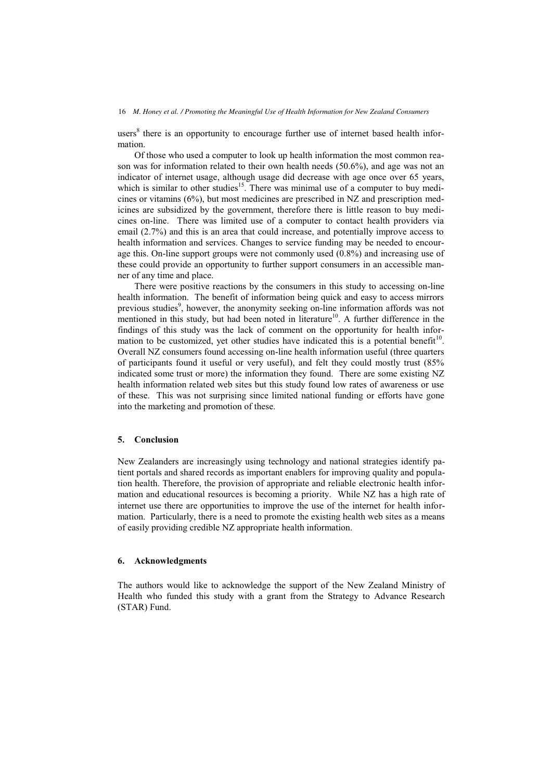users<sup>8</sup> there is an opportunity to encourage further use of internet based health information.

Of those who used a computer to look up health information the most common reason was for information related to their own health needs (50.6%), and age was not an indicator of internet usage, although usage did decrease with age once over 65 years, which is similar to other studies<sup>15</sup>. There was minimal use of a computer to buy medicines or vitamins (6%), but most medicines are prescribed in NZ and prescription medicines are subsidized by the government, therefore there is little reason to buy medicines on-line. There was limited use of a computer to contact health providers via email (2.7%) and this is an area that could increase, and potentially improve access to health information and services. Changes to service funding may be needed to encourage this. On-line support groups were not commonly used (0.8%) and increasing use of these could provide an opportunity to further support consumers in an accessible manner of any time and place.

There were positive reactions by the consumers in this study to accessing on-line health information. The benefit of information being quick and easy to access mirrors previous studies<sup>9</sup>, however, the anonymity seeking on-line information affords was not mentioned in this study, but had been noted in literature<sup>10</sup>. A further difference in the findings of this study was the lack of comment on the opportunity for health information to be customized, yet other studies have indicated this is a potential benefit<sup>10</sup>. Overall NZ consumers found accessing on-line health information useful (three quarters of participants found it useful or very useful), and felt they could mostly trust (85% indicated some trust or more) the information they found. There are some existing NZ health information related web sites but this study found low rates of awareness or use of these. This was not surprising since limited national funding or efforts have gone into the marketing and promotion of these.

## **5. Conclusion**

New Zealanders are increasingly using technology and national strategies identify patient portals and shared records as important enablers for improving quality and population health. Therefore, the provision of appropriate and reliable electronic health information and educational resources is becoming a priority. While NZ has a high rate of internet use there are opportunities to improve the use of the internet for health information. Particularly, there is a need to promote the existing health web sites as a means of easily providing credible NZ appropriate health information.

## **6. Acknowledgments**

The authors would like to acknowledge the support of the New Zealand Ministry of Health who funded this study with a grant from the Strategy to Advance Research (STAR) Fund.